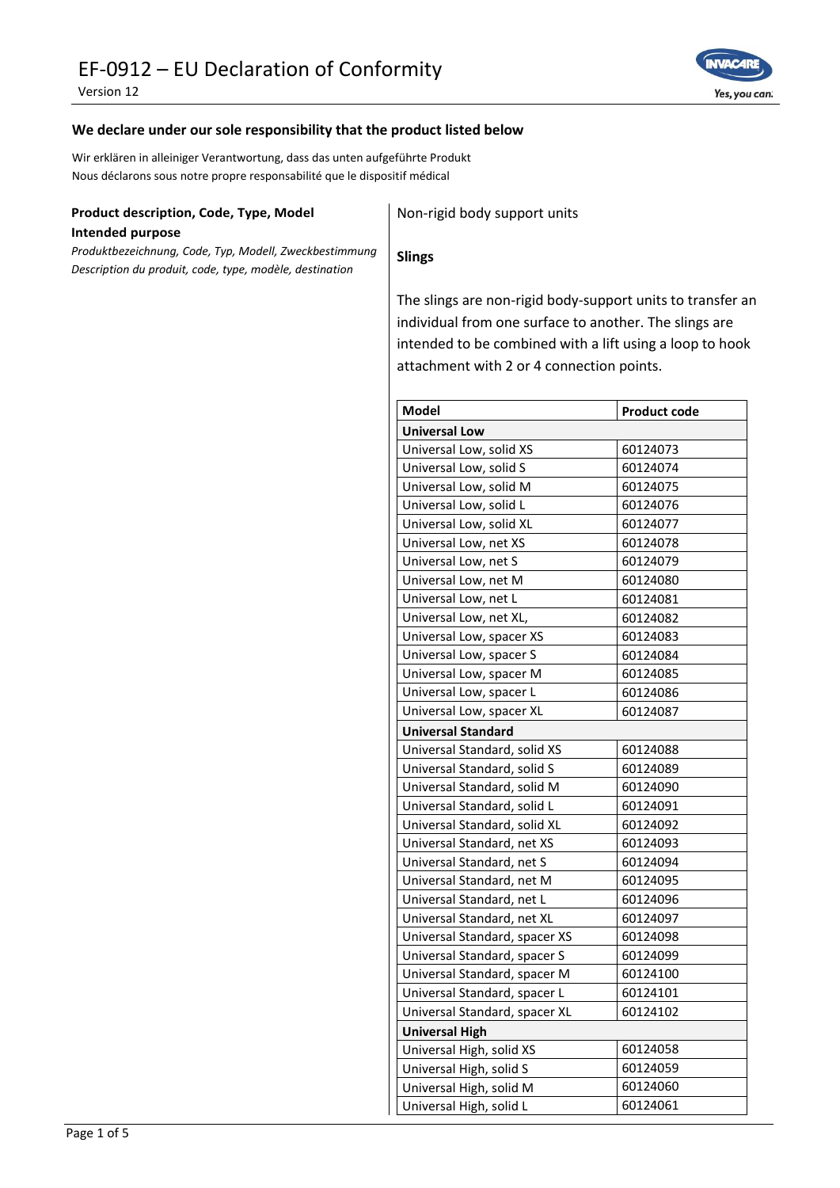Version 12



## **We declare under our sole responsibility that the product listed below**

Wir erklären in alleiniger Verantwortung, dass das unten aufgeführte Produkt Nous déclarons sous notre propre responsabilité que le dispositif médical

# **Product description, Code, Type, Model**

**Intended purpose**

*Produktbezeichnung, Code, Typ, Modell, Zweckbestimmung Description du produit, code, type, modèle, destination*

Non-rigid body support units

#### **Slings**

The slings are non-rigid body-support units to transfer an individual from one surface to another. The slings are intended to be combined with a lift using a loop to hook attachment with 2 or 4 connection points.

| <b>Model</b>                  | <b>Product code</b> |  |
|-------------------------------|---------------------|--|
| <b>Universal Low</b>          |                     |  |
| Universal Low, solid XS       | 60124073            |  |
| Universal Low, solid S        | 60124074            |  |
| Universal Low, solid M        | 60124075            |  |
| Universal Low, solid L        | 60124076            |  |
| Universal Low, solid XL       | 60124077            |  |
| Universal Low, net XS         | 60124078            |  |
| Universal Low, net S          | 60124079            |  |
| Universal Low, net M          | 60124080            |  |
| Universal Low, net L          | 60124081            |  |
| Universal Low, net XL,        | 60124082            |  |
| Universal Low, spacer XS      | 60124083            |  |
| Universal Low, spacer S       | 60124084            |  |
| Universal Low, spacer M       | 60124085            |  |
| Universal Low, spacer L       | 60124086            |  |
| Universal Low, spacer XL      | 60124087            |  |
| <b>Universal Standard</b>     |                     |  |
| Universal Standard, solid XS  | 60124088            |  |
| Universal Standard, solid S   | 60124089            |  |
| Universal Standard, solid M   | 60124090            |  |
| Universal Standard, solid L   | 60124091            |  |
| Universal Standard, solid XL  | 60124092            |  |
| Universal Standard, net XS    | 60124093            |  |
| Universal Standard, net S     | 60124094            |  |
| Universal Standard, net M     | 60124095            |  |
| Universal Standard, net L     | 60124096            |  |
| Universal Standard, net XL    | 60124097            |  |
| Universal Standard, spacer XS | 60124098            |  |
| Universal Standard, spacer S  | 60124099            |  |
| Universal Standard, spacer M  | 60124100            |  |
| Universal Standard, spacer L  | 60124101            |  |
| Universal Standard, spacer XL | 60124102            |  |
| <b>Universal High</b>         |                     |  |
| Universal High, solid XS      | 60124058            |  |
| Universal High, solid S       | 60124059            |  |
| Universal High, solid M       | 60124060            |  |
| Universal High, solid L       | 60124061            |  |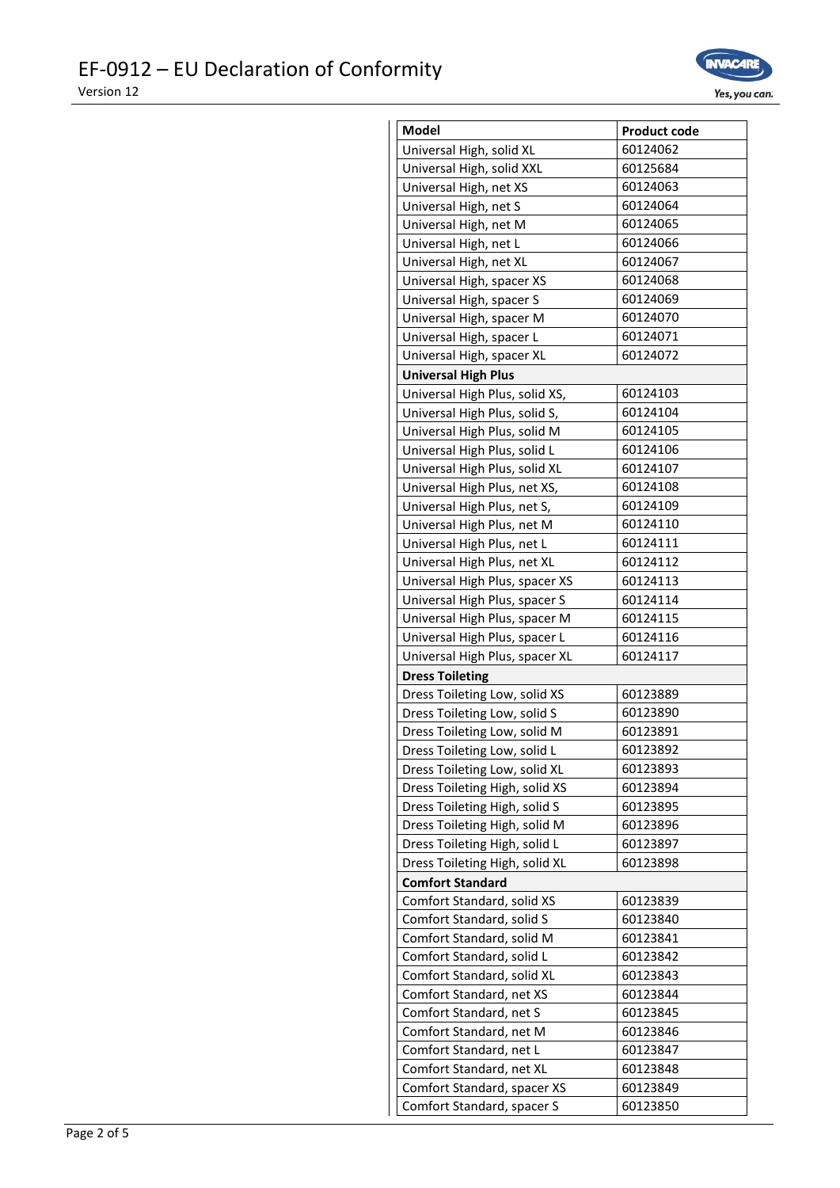

| <b>Model</b>                   | <b>Product code</b> |
|--------------------------------|---------------------|
| Universal High, solid XL       | 60124062            |
| Universal High, solid XXL      | 60125684            |
| Universal High, net XS         | 60124063            |
| Universal High, net S          | 60124064            |
| Universal High, net M          | 60124065            |
| Universal High, net L          | 60124066            |
| Universal High, net XL         | 60124067            |
| Universal High, spacer XS      | 60124068            |
| Universal High, spacer S       | 60124069            |
| Universal High, spacer M       | 60124070            |
| Universal High, spacer L       | 60124071            |
| Universal High, spacer XL      | 60124072            |
| <b>Universal High Plus</b>     |                     |
| Universal High Plus, solid XS, | 60124103            |
| Universal High Plus, solid S,  | 60124104            |
| Universal High Plus, solid M   | 60124105            |
| Universal High Plus, solid L   | 60124106            |
| Universal High Plus, solid XL  | 60124107            |
| Universal High Plus, net XS,   | 60124108            |
| Universal High Plus, net S,    | 60124109            |
| Universal High Plus, net M     | 60124110            |
| Universal High Plus, net L     | 60124111            |
| Universal High Plus, net XL    | 60124112            |
| Universal High Plus, spacer XS | 60124113            |
| Universal High Plus, spacer S  | 60124114            |
| Universal High Plus, spacer M  | 60124115            |
| Universal High Plus, spacer L  | 60124116            |
| Universal High Plus, spacer XL | 60124117            |
| <b>Dress Toileting</b>         |                     |
| Dress Toileting Low, solid XS  | 60123889            |
| Dress Toileting Low, solid S   | 60123890            |
| Dress Toileting Low, solid M   | 60123891            |
| Dress Toileting Low, solid L   | 60123892            |
| Dress Toileting Low, solid XL  | 60123893            |
| Dress Toileting High, solid XS | 60123894            |
| Dress Toileting High, solid S  | 60123895            |
| Dress Toileting High, solid M  | 60123896            |
| Dress Toileting High, solid L  | 60123897            |
| Dress Toileting High, solid XL | 60123898            |
| <b>Comfort Standard</b>        |                     |
| Comfort Standard, solid XS     | 60123839            |
| Comfort Standard, solid S      | 60123840            |
| Comfort Standard, solid M      | 60123841            |
| Comfort Standard, solid L      | 60123842            |
| Comfort Standard, solid XL     | 60123843            |
| Comfort Standard, net XS       | 60123844            |
| Comfort Standard, net S        | 60123845            |
| Comfort Standard, net M        | 60123846            |
| Comfort Standard, net L        | 60123847            |
| Comfort Standard, net XL       | 60123848            |
| Comfort Standard, spacer XS    | 60123849            |
| Comfort Standard, spacer S     | 60123850            |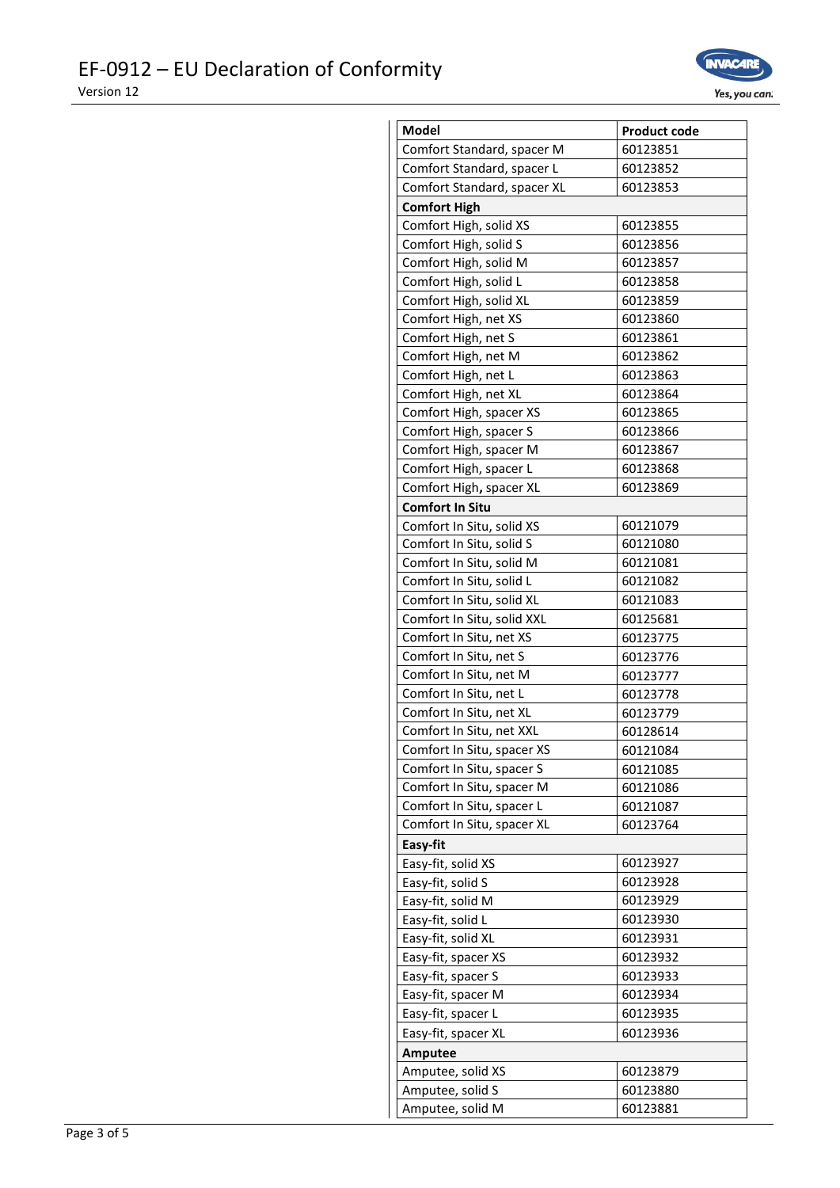

| Comfort Standard, spacer M<br>60123851<br>Comfort Standard, spacer L<br>60123852<br>Comfort Standard, spacer XL<br>60123853<br><b>Comfort High</b><br>Comfort High, solid XS<br>60123855<br>Comfort High, solid S<br>60123856<br>Comfort High, solid M<br>60123857<br>Comfort High, solid L<br>60123858<br>Comfort High, solid XL<br>60123859<br>Comfort High, net XS<br>60123860<br>Comfort High, net S<br>60123861<br>Comfort High, net M<br>60123862<br>Comfort High, net L<br>60123863<br>Comfort High, net XL<br>60123864<br>Comfort High, spacer XS<br>60123865<br>Comfort High, spacer S<br>60123866<br>Comfort High, spacer M<br>60123867<br>Comfort High, spacer L<br>60123868<br>60123869<br>Comfort High, spacer XL<br><b>Comfort In Situ</b><br>60121079<br>Comfort In Situ, solid XS<br>Comfort In Situ, solid S<br>60121080<br>Comfort In Situ, solid M<br>60121081<br>Comfort In Situ, solid L<br>60121082<br>Comfort In Situ, solid XL<br>60121083<br>Comfort In Situ, solid XXL<br>60125681<br>Comfort In Situ, net XS<br>60123775<br>Comfort In Situ, net S<br>60123776<br>Comfort In Situ, net M<br>60123777<br>Comfort In Situ, net L<br>60123778<br>Comfort In Situ, net XL<br>60123779<br>Comfort In Situ, net XXL<br>60128614<br>Comfort In Situ, spacer XS<br>60121084<br>Comfort In Situ, spacer S<br>60121085<br>Comfort In Situ, spacer M<br>60121086<br>Comfort In Situ, spacer L<br>60121087<br>Comfort In Situ, spacer XL<br>60123764<br>Easy-fit<br>Easy-fit, solid XS<br>60123927<br>Easy-fit, solid S<br>60123928<br>Easy-fit, solid M<br>60123929<br>60123930<br>Easy-fit, solid L<br>Easy-fit, solid XL<br>60123931<br>Easy-fit, spacer XS<br>60123932<br>Easy-fit, spacer S<br>60123933<br>Easy-fit, spacer M<br>60123934<br>Easy-fit, spacer L<br>60123935<br>Easy-fit, spacer XL<br>60123936<br>Amputee<br>Amputee, solid XS<br>60123879<br>Amputee, solid S<br>60123880<br>Amputee, solid M<br>60123881 |       |                     |
|------------------------------------------------------------------------------------------------------------------------------------------------------------------------------------------------------------------------------------------------------------------------------------------------------------------------------------------------------------------------------------------------------------------------------------------------------------------------------------------------------------------------------------------------------------------------------------------------------------------------------------------------------------------------------------------------------------------------------------------------------------------------------------------------------------------------------------------------------------------------------------------------------------------------------------------------------------------------------------------------------------------------------------------------------------------------------------------------------------------------------------------------------------------------------------------------------------------------------------------------------------------------------------------------------------------------------------------------------------------------------------------------------------------------------------------------------------------------------------------------------------------------------------------------------------------------------------------------------------------------------------------------------------------------------------------------------------------------------------------------------------------------------------------------------------------------------------------------------------------------------------------------------------------------------------------------|-------|---------------------|
|                                                                                                                                                                                                                                                                                                                                                                                                                                                                                                                                                                                                                                                                                                                                                                                                                                                                                                                                                                                                                                                                                                                                                                                                                                                                                                                                                                                                                                                                                                                                                                                                                                                                                                                                                                                                                                                                                                                                                | Model | <b>Product code</b> |
|                                                                                                                                                                                                                                                                                                                                                                                                                                                                                                                                                                                                                                                                                                                                                                                                                                                                                                                                                                                                                                                                                                                                                                                                                                                                                                                                                                                                                                                                                                                                                                                                                                                                                                                                                                                                                                                                                                                                                |       |                     |
|                                                                                                                                                                                                                                                                                                                                                                                                                                                                                                                                                                                                                                                                                                                                                                                                                                                                                                                                                                                                                                                                                                                                                                                                                                                                                                                                                                                                                                                                                                                                                                                                                                                                                                                                                                                                                                                                                                                                                |       |                     |
|                                                                                                                                                                                                                                                                                                                                                                                                                                                                                                                                                                                                                                                                                                                                                                                                                                                                                                                                                                                                                                                                                                                                                                                                                                                                                                                                                                                                                                                                                                                                                                                                                                                                                                                                                                                                                                                                                                                                                |       |                     |
|                                                                                                                                                                                                                                                                                                                                                                                                                                                                                                                                                                                                                                                                                                                                                                                                                                                                                                                                                                                                                                                                                                                                                                                                                                                                                                                                                                                                                                                                                                                                                                                                                                                                                                                                                                                                                                                                                                                                                |       |                     |
|                                                                                                                                                                                                                                                                                                                                                                                                                                                                                                                                                                                                                                                                                                                                                                                                                                                                                                                                                                                                                                                                                                                                                                                                                                                                                                                                                                                                                                                                                                                                                                                                                                                                                                                                                                                                                                                                                                                                                |       |                     |
|                                                                                                                                                                                                                                                                                                                                                                                                                                                                                                                                                                                                                                                                                                                                                                                                                                                                                                                                                                                                                                                                                                                                                                                                                                                                                                                                                                                                                                                                                                                                                                                                                                                                                                                                                                                                                                                                                                                                                |       |                     |
|                                                                                                                                                                                                                                                                                                                                                                                                                                                                                                                                                                                                                                                                                                                                                                                                                                                                                                                                                                                                                                                                                                                                                                                                                                                                                                                                                                                                                                                                                                                                                                                                                                                                                                                                                                                                                                                                                                                                                |       |                     |
|                                                                                                                                                                                                                                                                                                                                                                                                                                                                                                                                                                                                                                                                                                                                                                                                                                                                                                                                                                                                                                                                                                                                                                                                                                                                                                                                                                                                                                                                                                                                                                                                                                                                                                                                                                                                                                                                                                                                                |       |                     |
|                                                                                                                                                                                                                                                                                                                                                                                                                                                                                                                                                                                                                                                                                                                                                                                                                                                                                                                                                                                                                                                                                                                                                                                                                                                                                                                                                                                                                                                                                                                                                                                                                                                                                                                                                                                                                                                                                                                                                |       |                     |
|                                                                                                                                                                                                                                                                                                                                                                                                                                                                                                                                                                                                                                                                                                                                                                                                                                                                                                                                                                                                                                                                                                                                                                                                                                                                                                                                                                                                                                                                                                                                                                                                                                                                                                                                                                                                                                                                                                                                                |       |                     |
|                                                                                                                                                                                                                                                                                                                                                                                                                                                                                                                                                                                                                                                                                                                                                                                                                                                                                                                                                                                                                                                                                                                                                                                                                                                                                                                                                                                                                                                                                                                                                                                                                                                                                                                                                                                                                                                                                                                                                |       |                     |
|                                                                                                                                                                                                                                                                                                                                                                                                                                                                                                                                                                                                                                                                                                                                                                                                                                                                                                                                                                                                                                                                                                                                                                                                                                                                                                                                                                                                                                                                                                                                                                                                                                                                                                                                                                                                                                                                                                                                                |       |                     |
|                                                                                                                                                                                                                                                                                                                                                                                                                                                                                                                                                                                                                                                                                                                                                                                                                                                                                                                                                                                                                                                                                                                                                                                                                                                                                                                                                                                                                                                                                                                                                                                                                                                                                                                                                                                                                                                                                                                                                |       |                     |
|                                                                                                                                                                                                                                                                                                                                                                                                                                                                                                                                                                                                                                                                                                                                                                                                                                                                                                                                                                                                                                                                                                                                                                                                                                                                                                                                                                                                                                                                                                                                                                                                                                                                                                                                                                                                                                                                                                                                                |       |                     |
|                                                                                                                                                                                                                                                                                                                                                                                                                                                                                                                                                                                                                                                                                                                                                                                                                                                                                                                                                                                                                                                                                                                                                                                                                                                                                                                                                                                                                                                                                                                                                                                                                                                                                                                                                                                                                                                                                                                                                |       |                     |
|                                                                                                                                                                                                                                                                                                                                                                                                                                                                                                                                                                                                                                                                                                                                                                                                                                                                                                                                                                                                                                                                                                                                                                                                                                                                                                                                                                                                                                                                                                                                                                                                                                                                                                                                                                                                                                                                                                                                                |       |                     |
|                                                                                                                                                                                                                                                                                                                                                                                                                                                                                                                                                                                                                                                                                                                                                                                                                                                                                                                                                                                                                                                                                                                                                                                                                                                                                                                                                                                                                                                                                                                                                                                                                                                                                                                                                                                                                                                                                                                                                |       |                     |
|                                                                                                                                                                                                                                                                                                                                                                                                                                                                                                                                                                                                                                                                                                                                                                                                                                                                                                                                                                                                                                                                                                                                                                                                                                                                                                                                                                                                                                                                                                                                                                                                                                                                                                                                                                                                                                                                                                                                                |       |                     |
|                                                                                                                                                                                                                                                                                                                                                                                                                                                                                                                                                                                                                                                                                                                                                                                                                                                                                                                                                                                                                                                                                                                                                                                                                                                                                                                                                                                                                                                                                                                                                                                                                                                                                                                                                                                                                                                                                                                                                |       |                     |
|                                                                                                                                                                                                                                                                                                                                                                                                                                                                                                                                                                                                                                                                                                                                                                                                                                                                                                                                                                                                                                                                                                                                                                                                                                                                                                                                                                                                                                                                                                                                                                                                                                                                                                                                                                                                                                                                                                                                                |       |                     |
|                                                                                                                                                                                                                                                                                                                                                                                                                                                                                                                                                                                                                                                                                                                                                                                                                                                                                                                                                                                                                                                                                                                                                                                                                                                                                                                                                                                                                                                                                                                                                                                                                                                                                                                                                                                                                                                                                                                                                |       |                     |
|                                                                                                                                                                                                                                                                                                                                                                                                                                                                                                                                                                                                                                                                                                                                                                                                                                                                                                                                                                                                                                                                                                                                                                                                                                                                                                                                                                                                                                                                                                                                                                                                                                                                                                                                                                                                                                                                                                                                                |       |                     |
|                                                                                                                                                                                                                                                                                                                                                                                                                                                                                                                                                                                                                                                                                                                                                                                                                                                                                                                                                                                                                                                                                                                                                                                                                                                                                                                                                                                                                                                                                                                                                                                                                                                                                                                                                                                                                                                                                                                                                |       |                     |
|                                                                                                                                                                                                                                                                                                                                                                                                                                                                                                                                                                                                                                                                                                                                                                                                                                                                                                                                                                                                                                                                                                                                                                                                                                                                                                                                                                                                                                                                                                                                                                                                                                                                                                                                                                                                                                                                                                                                                |       |                     |
|                                                                                                                                                                                                                                                                                                                                                                                                                                                                                                                                                                                                                                                                                                                                                                                                                                                                                                                                                                                                                                                                                                                                                                                                                                                                                                                                                                                                                                                                                                                                                                                                                                                                                                                                                                                                                                                                                                                                                |       |                     |
|                                                                                                                                                                                                                                                                                                                                                                                                                                                                                                                                                                                                                                                                                                                                                                                                                                                                                                                                                                                                                                                                                                                                                                                                                                                                                                                                                                                                                                                                                                                                                                                                                                                                                                                                                                                                                                                                                                                                                |       |                     |
|                                                                                                                                                                                                                                                                                                                                                                                                                                                                                                                                                                                                                                                                                                                                                                                                                                                                                                                                                                                                                                                                                                                                                                                                                                                                                                                                                                                                                                                                                                                                                                                                                                                                                                                                                                                                                                                                                                                                                |       |                     |
|                                                                                                                                                                                                                                                                                                                                                                                                                                                                                                                                                                                                                                                                                                                                                                                                                                                                                                                                                                                                                                                                                                                                                                                                                                                                                                                                                                                                                                                                                                                                                                                                                                                                                                                                                                                                                                                                                                                                                |       |                     |
|                                                                                                                                                                                                                                                                                                                                                                                                                                                                                                                                                                                                                                                                                                                                                                                                                                                                                                                                                                                                                                                                                                                                                                                                                                                                                                                                                                                                                                                                                                                                                                                                                                                                                                                                                                                                                                                                                                                                                |       |                     |
|                                                                                                                                                                                                                                                                                                                                                                                                                                                                                                                                                                                                                                                                                                                                                                                                                                                                                                                                                                                                                                                                                                                                                                                                                                                                                                                                                                                                                                                                                                                                                                                                                                                                                                                                                                                                                                                                                                                                                |       |                     |
|                                                                                                                                                                                                                                                                                                                                                                                                                                                                                                                                                                                                                                                                                                                                                                                                                                                                                                                                                                                                                                                                                                                                                                                                                                                                                                                                                                                                                                                                                                                                                                                                                                                                                                                                                                                                                                                                                                                                                |       |                     |
|                                                                                                                                                                                                                                                                                                                                                                                                                                                                                                                                                                                                                                                                                                                                                                                                                                                                                                                                                                                                                                                                                                                                                                                                                                                                                                                                                                                                                                                                                                                                                                                                                                                                                                                                                                                                                                                                                                                                                |       |                     |
|                                                                                                                                                                                                                                                                                                                                                                                                                                                                                                                                                                                                                                                                                                                                                                                                                                                                                                                                                                                                                                                                                                                                                                                                                                                                                                                                                                                                                                                                                                                                                                                                                                                                                                                                                                                                                                                                                                                                                |       |                     |
|                                                                                                                                                                                                                                                                                                                                                                                                                                                                                                                                                                                                                                                                                                                                                                                                                                                                                                                                                                                                                                                                                                                                                                                                                                                                                                                                                                                                                                                                                                                                                                                                                                                                                                                                                                                                                                                                                                                                                |       |                     |
|                                                                                                                                                                                                                                                                                                                                                                                                                                                                                                                                                                                                                                                                                                                                                                                                                                                                                                                                                                                                                                                                                                                                                                                                                                                                                                                                                                                                                                                                                                                                                                                                                                                                                                                                                                                                                                                                                                                                                |       |                     |
|                                                                                                                                                                                                                                                                                                                                                                                                                                                                                                                                                                                                                                                                                                                                                                                                                                                                                                                                                                                                                                                                                                                                                                                                                                                                                                                                                                                                                                                                                                                                                                                                                                                                                                                                                                                                                                                                                                                                                |       |                     |
|                                                                                                                                                                                                                                                                                                                                                                                                                                                                                                                                                                                                                                                                                                                                                                                                                                                                                                                                                                                                                                                                                                                                                                                                                                                                                                                                                                                                                                                                                                                                                                                                                                                                                                                                                                                                                                                                                                                                                |       |                     |
|                                                                                                                                                                                                                                                                                                                                                                                                                                                                                                                                                                                                                                                                                                                                                                                                                                                                                                                                                                                                                                                                                                                                                                                                                                                                                                                                                                                                                                                                                                                                                                                                                                                                                                                                                                                                                                                                                                                                                |       |                     |
|                                                                                                                                                                                                                                                                                                                                                                                                                                                                                                                                                                                                                                                                                                                                                                                                                                                                                                                                                                                                                                                                                                                                                                                                                                                                                                                                                                                                                                                                                                                                                                                                                                                                                                                                                                                                                                                                                                                                                |       |                     |
|                                                                                                                                                                                                                                                                                                                                                                                                                                                                                                                                                                                                                                                                                                                                                                                                                                                                                                                                                                                                                                                                                                                                                                                                                                                                                                                                                                                                                                                                                                                                                                                                                                                                                                                                                                                                                                                                                                                                                |       |                     |
|                                                                                                                                                                                                                                                                                                                                                                                                                                                                                                                                                                                                                                                                                                                                                                                                                                                                                                                                                                                                                                                                                                                                                                                                                                                                                                                                                                                                                                                                                                                                                                                                                                                                                                                                                                                                                                                                                                                                                |       |                     |
|                                                                                                                                                                                                                                                                                                                                                                                                                                                                                                                                                                                                                                                                                                                                                                                                                                                                                                                                                                                                                                                                                                                                                                                                                                                                                                                                                                                                                                                                                                                                                                                                                                                                                                                                                                                                                                                                                                                                                |       |                     |
|                                                                                                                                                                                                                                                                                                                                                                                                                                                                                                                                                                                                                                                                                                                                                                                                                                                                                                                                                                                                                                                                                                                                                                                                                                                                                                                                                                                                                                                                                                                                                                                                                                                                                                                                                                                                                                                                                                                                                |       |                     |
|                                                                                                                                                                                                                                                                                                                                                                                                                                                                                                                                                                                                                                                                                                                                                                                                                                                                                                                                                                                                                                                                                                                                                                                                                                                                                                                                                                                                                                                                                                                                                                                                                                                                                                                                                                                                                                                                                                                                                |       |                     |
|                                                                                                                                                                                                                                                                                                                                                                                                                                                                                                                                                                                                                                                                                                                                                                                                                                                                                                                                                                                                                                                                                                                                                                                                                                                                                                                                                                                                                                                                                                                                                                                                                                                                                                                                                                                                                                                                                                                                                |       |                     |
|                                                                                                                                                                                                                                                                                                                                                                                                                                                                                                                                                                                                                                                                                                                                                                                                                                                                                                                                                                                                                                                                                                                                                                                                                                                                                                                                                                                                                                                                                                                                                                                                                                                                                                                                                                                                                                                                                                                                                |       |                     |
|                                                                                                                                                                                                                                                                                                                                                                                                                                                                                                                                                                                                                                                                                                                                                                                                                                                                                                                                                                                                                                                                                                                                                                                                                                                                                                                                                                                                                                                                                                                                                                                                                                                                                                                                                                                                                                                                                                                                                |       |                     |
|                                                                                                                                                                                                                                                                                                                                                                                                                                                                                                                                                                                                                                                                                                                                                                                                                                                                                                                                                                                                                                                                                                                                                                                                                                                                                                                                                                                                                                                                                                                                                                                                                                                                                                                                                                                                                                                                                                                                                |       |                     |
|                                                                                                                                                                                                                                                                                                                                                                                                                                                                                                                                                                                                                                                                                                                                                                                                                                                                                                                                                                                                                                                                                                                                                                                                                                                                                                                                                                                                                                                                                                                                                                                                                                                                                                                                                                                                                                                                                                                                                |       |                     |
|                                                                                                                                                                                                                                                                                                                                                                                                                                                                                                                                                                                                                                                                                                                                                                                                                                                                                                                                                                                                                                                                                                                                                                                                                                                                                                                                                                                                                                                                                                                                                                                                                                                                                                                                                                                                                                                                                                                                                |       |                     |
|                                                                                                                                                                                                                                                                                                                                                                                                                                                                                                                                                                                                                                                                                                                                                                                                                                                                                                                                                                                                                                                                                                                                                                                                                                                                                                                                                                                                                                                                                                                                                                                                                                                                                                                                                                                                                                                                                                                                                |       |                     |
|                                                                                                                                                                                                                                                                                                                                                                                                                                                                                                                                                                                                                                                                                                                                                                                                                                                                                                                                                                                                                                                                                                                                                                                                                                                                                                                                                                                                                                                                                                                                                                                                                                                                                                                                                                                                                                                                                                                                                |       |                     |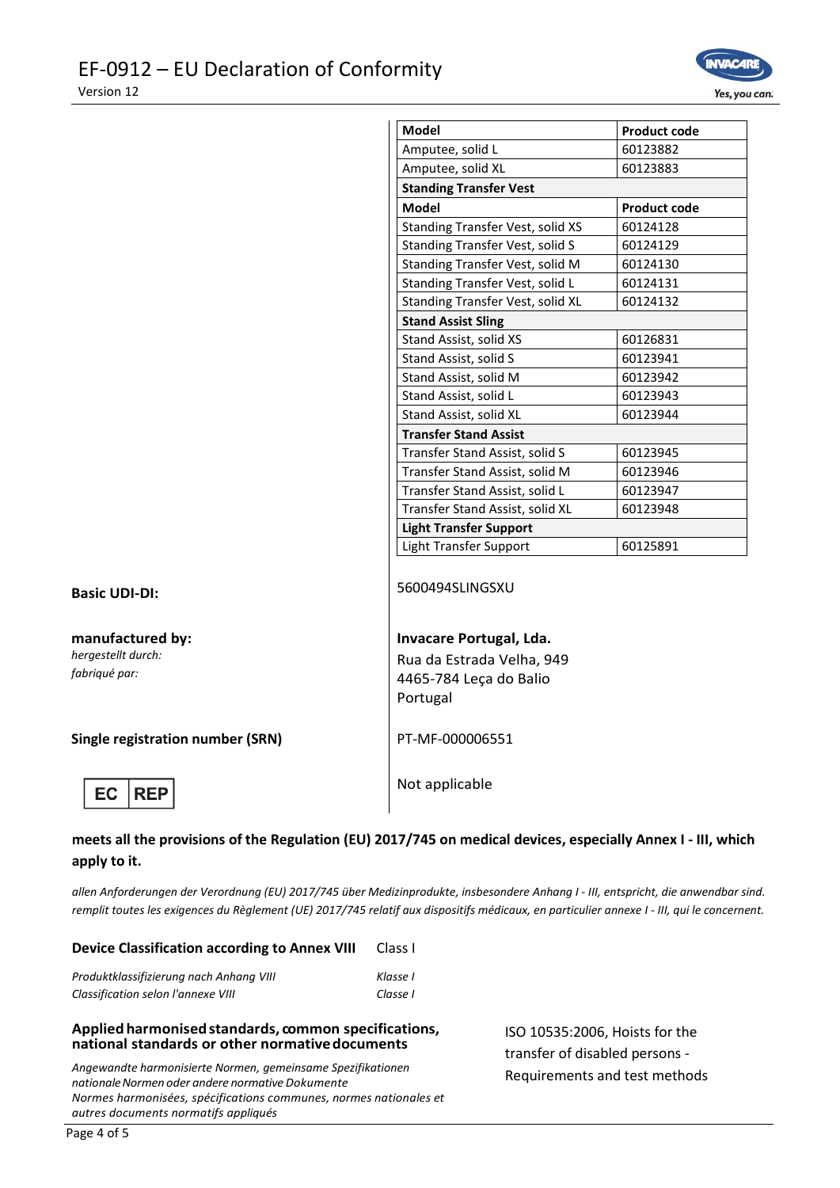

| <b>Model</b>                     | <b>Product code</b> |  |
|----------------------------------|---------------------|--|
| Amputee, solid L                 | 60123882            |  |
| Amputee, solid XL                | 60123883            |  |
| <b>Standing Transfer Vest</b>    |                     |  |
| <b>Model</b>                     | <b>Product code</b> |  |
| Standing Transfer Vest, solid XS | 60124128            |  |
| Standing Transfer Vest, solid S  | 60124129            |  |
| Standing Transfer Vest, solid M  | 60124130            |  |
| Standing Transfer Vest, solid L  | 60124131            |  |
| Standing Transfer Vest, solid XL | 60124132            |  |
| <b>Stand Assist Sling</b>        |                     |  |
| Stand Assist, solid XS           | 60126831            |  |
| Stand Assist, solid S            | 60123941            |  |
| Stand Assist, solid M            | 60123942            |  |
| Stand Assist, solid L            | 60123943            |  |
| Stand Assist, solid XL           | 60123944            |  |
| <b>Transfer Stand Assist</b>     |                     |  |
| Transfer Stand Assist, solid S   | 60123945            |  |
| Transfer Stand Assist, solid M   | 60123946            |  |
| Transfer Stand Assist, solid L   | 60123947            |  |
| Transfer Stand Assist, solid XL  | 60123948            |  |
| <b>Light Transfer Support</b>    |                     |  |
| Light Transfer Support           | 60125891            |  |

**manufactured by:** *hergestellt durch: fabriqué par:*

**Single registration number (SRN)** PT-MF-000006551

**Basic UDI-DI:** 5600494SLINGSXU

## **Invacare Portugal, Lda.**

Rua da Estrada Velha, 949 4465-784 Leça do Balio Portugal

Not applicable

## **meets all the provisions of the Regulation (EU) 2017/745 on medical devices, especially Annex I - III, which apply to it.**

*allen Anforderungen der Verordnung (EU) 2017/745 über Medizinprodukte, insbesondere Anhang I - III, entspricht, die anwendbar sind. remplit toutes les exigences du Règlement (UE) 2017/745 relatif aux dispositifs médicaux, en particulier annexe I - III, qui le concernent.*

| <b>Device Classification according to Annex VIII</b> | Class I  |  |
|------------------------------------------------------|----------|--|
| Produktklassifizierung nach Anhana VIII              | Klasse I |  |
| Classification selon l'annexe VIII                   | Classe I |  |

## **Appliedharmonisedstandards, common specifications, national standards or other normativedocuments**

*Angewandte harmonisierte Normen, gemeinsame Spezifikationen nationaleNormen oder andere normative Dokumente Normes harmonisées, spécifications communes, normes nationales et autres documents normatifs appliqués*

ISO 10535:2006, Hoists for the transfer of disabled persons - Requirements and test methods